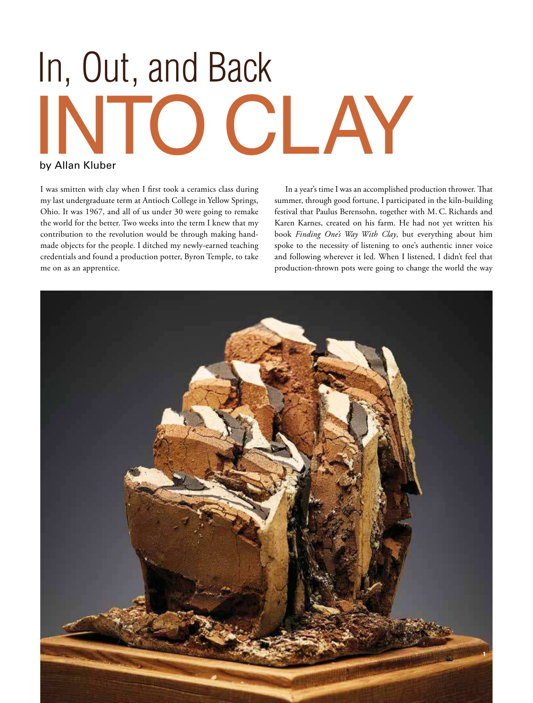# INTO CL AY In, Out, and Back

# by Allan Kluber

I was smitten with clay when I first took a ceramics class during my last undergraduate term at Antioch College in Yellow Springs, Ohio. It was 1967, and all of us under 30 were going to remake the world for the better. Two weeks into the term I knew that my contribution to the revolution would be through making handmade objects for the people. I ditched my newly-earned teaching credentials and found a production potter, Byron Temple, to take me on as an apprentice.

In a year's time I was an accomplished production thrower. That summer, through good fortune, I participated in the kiln-building festival that Paulus Berensohn, together with M. C. Richards and Karen Karnes, created on his farm. He had not yet written his book *Finding One's Way With Clay*, but everything about him spoke to the necessity of listening to one's authentic inner voice and following wherever it led. When I listened, I didn't feel that production-thrown pots were going to change the world the way

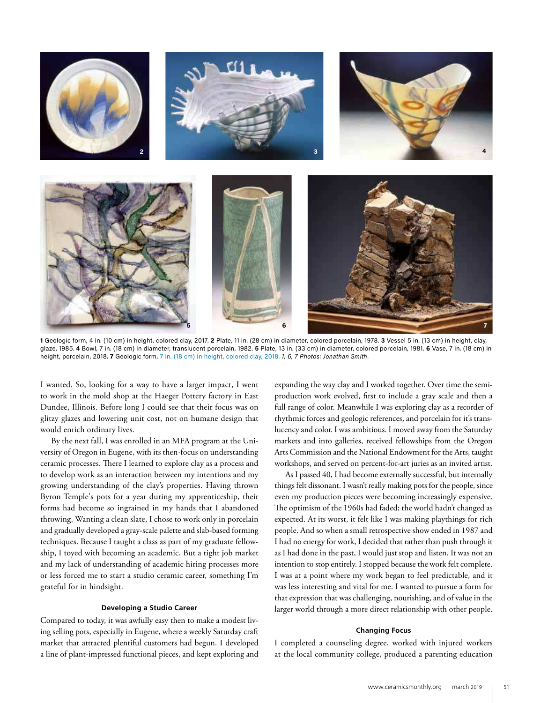

**1** Geologic form, 4 in. (10 cm) in height, colored clay, 2017. **2** Plate, 11 in. (28 cm) in diameter, colored porcelain, 1978. **3** Vessel 5 in. (13 cm) in height, clay, glaze, 1985. **4** Bowl, 7 in. (18 cm) in diameter, translucent porcelain, 1982. **5** Plate, 13 in. (33 cm) in diameter, colored porcelain, 1981. **6** Vase, 7 in. (18 cm) in height, porcelain, 2018. **7** Geologic form, 7 in. (18 cm) in height, colored clay, 2018. *1, 6, 7 Photos: Jonathan Smith*.

I wanted. So, looking for a way to have a larger impact, I went to work in the mold shop at the Haeger Pottery factory in East Dundee, Illinois. Before long I could see that their focus was on glitzy glazes and lowering unit cost, not on humane design that would enrich ordinary lives.

By the next fall, I was enrolled in an MFA program at the University of Oregon in Eugene, with its then-focus on understanding ceramic processes. There I learned to explore clay as a process and to develop work as an interaction between my intentions and my growing understanding of the clay's properties. Having thrown Byron Temple's pots for a year during my apprenticeship, their forms had become so ingrained in my hands that I abandoned throwing. Wanting a clean slate, I chose to work only in porcelain and gradually developed a gray-scale palette and slab-based forming techniques. Because I taught a class as part of my graduate fellowship, I toyed with becoming an academic. But a tight job market and my lack of understanding of academic hiring processes more or less forced me to start a studio ceramic career, something I'm grateful for in hindsight.

### **Developing a Studio Career**

Compared to today, it was awfully easy then to make a modest living selling pots, especially in Eugene, where a weekly Saturday craft market that attracted plentiful customers had begun. I developed a line of plant-impressed functional pieces, and kept exploring and

expanding the way clay and I worked together. Over time the semiproduction work evolved, first to include a gray scale and then a full range of color. Meanwhile I was exploring clay as a recorder of rhythmic forces and geologic references, and porcelain for it's translucency and color. I was ambitious. I moved away from the Saturday markets and into galleries, received fellowships from the Oregon Arts Commission and the National Endowment for the Arts, taught workshops, and served on percent-for-art juries as an invited artist.

As I passed 40, I had become externally successful, but internally things felt dissonant. I wasn't really making pots for the people, since even my production pieces were becoming increasingly expensive. The optimism of the 1960s had faded; the world hadn't changed as expected. At its worst, it felt like I was making playthings for rich people. And so when a small retrospective show ended in 1987 and I had no energy for work, I decided that rather than push through it as I had done in the past, I would just stop and listen. It was not an intention to stop entirely. I stopped because the work felt complete. I was at a point where my work began to feel predictable, and it was less interesting and vital for me. I wanted to pursue a form for that expression that was challenging, nourishing, and of value in the larger world through a more direct relationship with other people.

## **Changing Focus**

I completed a counseling degree, worked with injured workers at the local community college, produced a parenting education